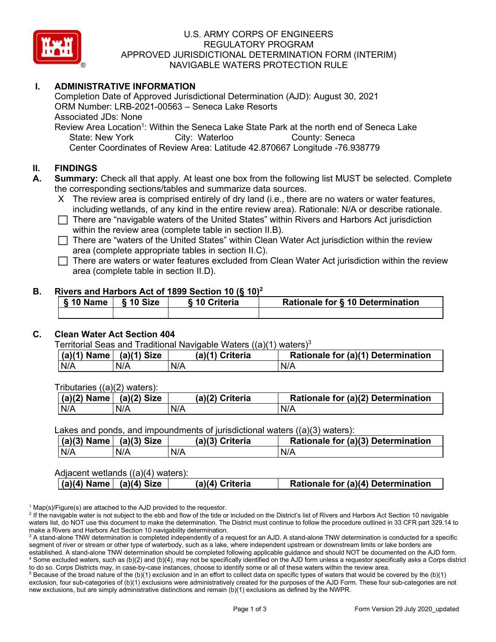

## U.S. ARMY CORPS OF ENGINEERS REGULATORY PROGRAM APPROVED JURISDICTIONAL DETERMINATION FORM (INTERIM) NAVIGABLE WATERS PROTECTION RULE

# **I. ADMINISTRATIVE INFORMATION**

Completion Date of Approved Jurisdictional Determination (AJD): August 30, 2021 ORM Number: LRB-2021-00563 – Seneca Lake Resorts Associated JDs: None Review Area Location<sup>1</sup>: Within the Seneca Lake State Park at the north end of Seneca Lake

State: New York City: Waterloo County: Seneca Center Coordinates of Review Area: Latitude 42.870667 Longitude -76.938779

#### **II. FINDINGS**

**A. Summary:** Check all that apply. At least one box from the following list MUST be selected. Complete the corresponding sections/tables and summarize data sources.

- X The review area is comprised entirely of dry land (i.e., there are no waters or water features, including wetlands, of any kind in the entire review area). Rationale: N/A or describe rationale.
- $\Box$  There are "navigable waters of the United States" within Rivers and Harbors Act jurisdiction within the review area (complete table in section II.B).
- $\Box$  There are "waters of the United States" within Clean Water Act jurisdiction within the review area (complete appropriate tables in section II.C).

 $\Box$  There are waters or water features excluded from Clean Water Act jurisdiction within the review area (complete table in section II.D).

#### **B. Rivers and Harbors Act of 1899 Section 10 (§ 10)2**

| § 10 Name   § 10 Size | § 10 Criteria | Rationale for § 10 Determination |
|-----------------------|---------------|----------------------------------|
|                       |               |                                  |

#### **C. Clean Water Act Section 404**

| Territorial Seas and Traditional Navigable Waters ((a)(1) waters) <sup>3</sup> |                                  |  |                 |                                    |
|--------------------------------------------------------------------------------|----------------------------------|--|-----------------|------------------------------------|
|                                                                                | $ (a)(1)$ Name $ $ $(a)(1)$ Size |  | (a)(1) Criteria | Rationale for (a)(1) Determination |

Tributaries ((a)(2) waters):

| $ $ (a)(2) Name | $(a)(2)$ Size | (a)(2) Criteria | Rationale for (a)(2) Determination |
|-----------------|---------------|-----------------|------------------------------------|
| N/A             | N/A           | N/A             | N/A                                |

#### Lakes and ponds, and impoundments of jurisdictional waters ((a)(3) waters):

N/A | N/A | N/A | N/A

| $(a)(3)$ Name | $(a)(3)$ Size | (a)(3) Criteria | Rationale for (a)(3) Determination |
|---------------|---------------|-----------------|------------------------------------|
| N/A           | N/A           | N/A             | N/A                                |

#### Adjacent wetlands ((a)(4) waters):

|  | $\mid$ (a)(4) Name $\mid$ (a)(4) Size | (a)(4) Criteria | Rationale for (a)(4) Determination |
|--|---------------------------------------|-----------------|------------------------------------|
|  |                                       |                 |                                    |

 $1$  Map(s)/Figure(s) are attached to the AJD provided to the requestor.

<sup>2</sup> If the navigable water is not subject to the ebb and flow of the tide or included on the District's list of Rivers and Harbors Act Section 10 navigable waters list, do NOT use this document to make the determination. The District must continue to follow the procedure outlined in 33 CFR part 329.14 to make a Rivers and Harbors Act Section 10 navigability determination.

<sup>3</sup> A stand-alone TNW determination is completed independently of a request for an AJD. A stand-alone TNW determination is conducted for a specific segment of river or stream or other type of waterbody, such as a lake, where independent upstream or downstream limits or lake borders are established. A stand-alone TNW determination should be completed following applicable guidance and should NOT be documented on the AJD form. <sup>4</sup> Some excluded waters, such as (b)(2) and (b)(4), may not be specifically identified on the AJD form unless a requestor specifically asks a Corps district to do so. Corps Districts may, in case-by-case instances, choose to identify some or all of these waters within the review area.

 $5$  Because of the broad nature of the (b)(1) exclusion and in an effort to collect data on specific types of waters that would be covered by the (b)(1) exclusion, four sub-categories of (b)(1) exclusions were administratively created for the purposes of the AJD Form. These four sub-categories are not new exclusions, but are simply administrative distinctions and remain (b)(1) exclusions as defined by the NWPR.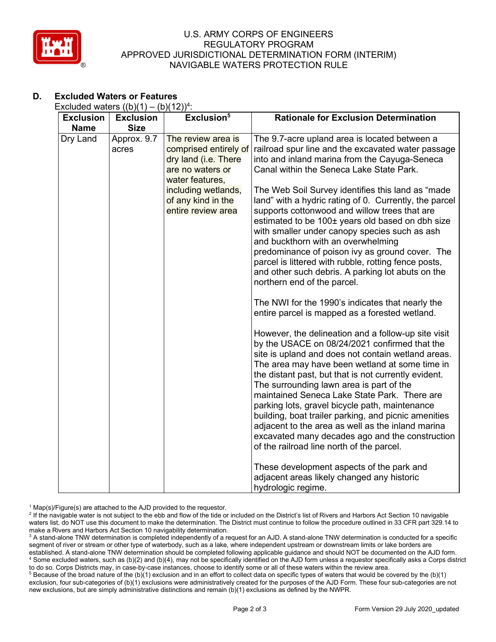

## U.S. ARMY CORPS OF ENGINEERS REGULATORY PROGRAM APPROVED JURISDICTIONAL DETERMINATION FORM (INTERIM) NAVIGABLE WATERS PROTECTION RULE

# **D. Excluded Waters or Features**

| Excluded waters $((b)(1) - (b)(12))^4$ : |                      |                                                                                                            |                                                                                                                                                                                                                                                                                                                                                                                                                                                                                                                                                                                                                                                                              |  |
|------------------------------------------|----------------------|------------------------------------------------------------------------------------------------------------|------------------------------------------------------------------------------------------------------------------------------------------------------------------------------------------------------------------------------------------------------------------------------------------------------------------------------------------------------------------------------------------------------------------------------------------------------------------------------------------------------------------------------------------------------------------------------------------------------------------------------------------------------------------------------|--|
| <b>Exclusion</b>                         | <b>Exclusion</b>     | Exclusion <sup>5</sup>                                                                                     | <b>Rationale for Exclusion Determination</b>                                                                                                                                                                                                                                                                                                                                                                                                                                                                                                                                                                                                                                 |  |
| <b>Name</b>                              | <b>Size</b>          |                                                                                                            |                                                                                                                                                                                                                                                                                                                                                                                                                                                                                                                                                                                                                                                                              |  |
| Dry Land                                 | Approx. 9.7<br>acres | The review area is<br>comprised entirely of<br>dry land (i.e. There<br>are no waters or<br>water features, | The 9.7-acre upland area is located between a<br>railroad spur line and the excavated water passage<br>into and inland marina from the Cayuga-Seneca<br>Canal within the Seneca Lake State Park.                                                                                                                                                                                                                                                                                                                                                                                                                                                                             |  |
|                                          |                      | including wetlands,<br>of any kind in the<br>entire review area                                            | The Web Soil Survey identifies this land as "made<br>land" with a hydric rating of 0. Currently, the parcel<br>supports cottonwood and willow trees that are<br>estimated to be 100± years old based on dbh size<br>with smaller under canopy species such as ash<br>and buckthorn with an overwhelming<br>predominance of poison ivy as ground cover. The<br>parcel is littered with rubble, rotting fence posts,<br>and other such debris. A parking lot abuts on the<br>northern end of the parcel.<br>The NWI for the 1990's indicates that nearly the<br>entire parcel is mapped as a forested wetland.                                                                 |  |
|                                          |                      |                                                                                                            | However, the delineation and a follow-up site visit<br>by the USACE on 08/24/2021 confirmed that the<br>site is upland and does not contain wetland areas.<br>The area may have been wetland at some time in<br>the distant past, but that is not currently evident.<br>The surrounding lawn area is part of the<br>maintained Seneca Lake State Park. There are<br>parking lots, gravel bicycle path, maintenance<br>building, boat trailer parking, and picnic amenities<br>adjacent to the area as well as the inland marina<br>excavated many decades ago and the construction<br>of the railroad line north of the parcel.<br>These development aspects of the park and |  |
|                                          |                      |                                                                                                            | adjacent areas likely changed any historic<br>hydrologic regime.                                                                                                                                                                                                                                                                                                                                                                                                                                                                                                                                                                                                             |  |

 $1$  Map(s)/Figure(s) are attached to the AJD provided to the requestor.

<sup>2</sup> If the navigable water is not subject to the ebb and flow of the tide or included on the District's list of Rivers and Harbors Act Section 10 navigable waters list, do NOT use this document to make the determination. The District must continue to follow the procedure outlined in 33 CFR part 329.14 to make a Rivers and Harbors Act Section 10 navigability determination.

<sup>3</sup> A stand-alone TNW determination is completed independently of a request for an AJD. A stand-alone TNW determination is conducted for a specific segment of river or stream or other type of waterbody, such as a lake, where independent upstream or downstream limits or lake borders are established. A stand-alone TNW determination should be completed following applicable guidance and should NOT be documented on the AJD form. <sup>4</sup> Some excluded waters, such as (b)(2) and (b)(4), may not be specifically identified on the AJD form unless a requestor specifically asks a Corps district to do so. Corps Districts may, in case-by-case instances, choose to identify some or all of these waters within the review area.

<sup>5</sup> Because of the broad nature of the (b)(1) exclusion and in an effort to collect data on specific types of waters that would be covered by the (b)(1) exclusion, four sub-categories of (b)(1) exclusions were administratively created for the purposes of the AJD Form. These four sub-categories are not new exclusions, but are simply administrative distinctions and remain (b)(1) exclusions as defined by the NWPR.